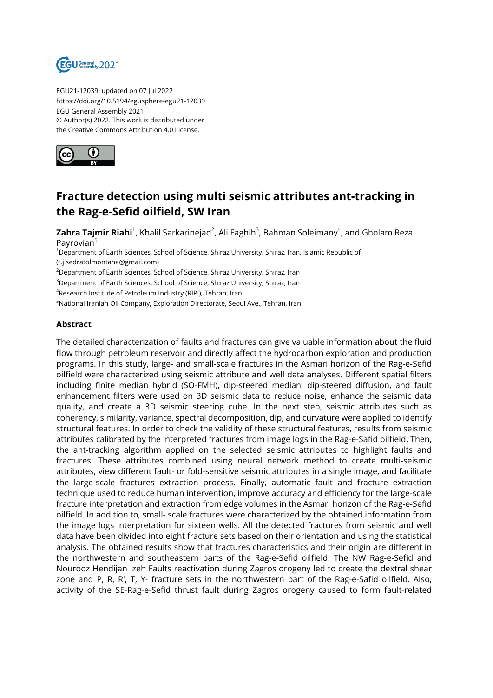

EGU21-12039, updated on 07 Jul 2022 https://doi.org/10.5194/egusphere-egu21-12039 EGU General Assembly 2021 © Author(s) 2022. This work is distributed under the Creative Commons Attribution 4.0 License.



## **Fracture detection using multi seismic attributes ant-tracking in the Rag-e-Sefid oilfield, SW Iran**

**Zahra Tajmir Riahi**<sup>1</sup>, Khalil Sarkarinejad<sup>2</sup>, Ali Faghih<sup>3</sup>, Bahman Soleimany<sup>4</sup>, and Gholam Reza Payrovian<sup>5</sup>

<sup>1</sup>Department of Earth Sciences, School of Science, Shiraz University, Shiraz, Iran, Islamic Republic of (t.j.sedratolmontaha@gmail.com)

<sup>2</sup>Department of Earth Sciences, School of Science, Shiraz University, Shiraz, Iran

<sup>3</sup>Department of Earth Sciences, School of Science, Shiraz University, Shiraz, Iran

4 Research Institute of Petroleum Industry (RIPI), Tehran, Iran

<sup>5</sup>National Iranian Oil Company, Exploration Directorate, Seoul Ave., Tehran, Iran

## **Abstract**

The detailed characterization of faults and fractures can give valuable information about the fluid flow through petroleum reservoir and directly affect the hydrocarbon exploration and production programs. In this study, large- and small-scale fractures in the Asmari horizon of the Rag-e-Sefid oilfield were characterized using seismic attribute and well data analyses. Different spatial filters including finite median hybrid (SO-FMH), dip-steered median, dip-steered diffusion, and fault enhancement filters were used on 3D seismic data to reduce noise, enhance the seismic data quality, and create a 3D seismic steering cube. In the next step, seismic attributes such as coherency, similarity, variance, spectral decomposition, dip, and curvature were applied to identify structural features. In order to check the validity of these structural features, results from seismic attributes calibrated by the interpreted fractures from image logs in the Rag-e-Safid oilfield. Then, the ant-tracking algorithm applied on the selected seismic attributes to highlight faults and fractures. These attributes combined using neural network method to create multi-seismic attributes, view different fault- or fold-sensitive seismic attributes in a single image, and facilitate the large-scale fractures extraction process. Finally, automatic fault and fracture extraction technique used to reduce human intervention, improve accuracy and efficiency for the large-scale fracture interpretation and extraction from edge volumes in the Asmari horizon of the Rag-e-Sefid oilfield. In addition to, small- scale fractures were characterized by the obtained information from the image logs interpretation for sixteen wells. All the detected fractures from seismic and well data have been divided into eight fracture sets based on their orientation and using the statistical analysis. The obtained results show that fractures characteristics and their origin are different in the northwestern and southeastern parts of the Rag-e-Sefid oilfield. The NW Rag-e-Sefid and Nourooz Hendijan Izeh Faults reactivation during Zagros orogeny led to create the dextral shear zone and P, R, R′, T, Y- fracture sets in the northwestern part of the Rag-e-Safid oilfield. Also, activity of the SE-Rag-e-Sefid thrust fault during Zagros orogeny caused to form fault-related